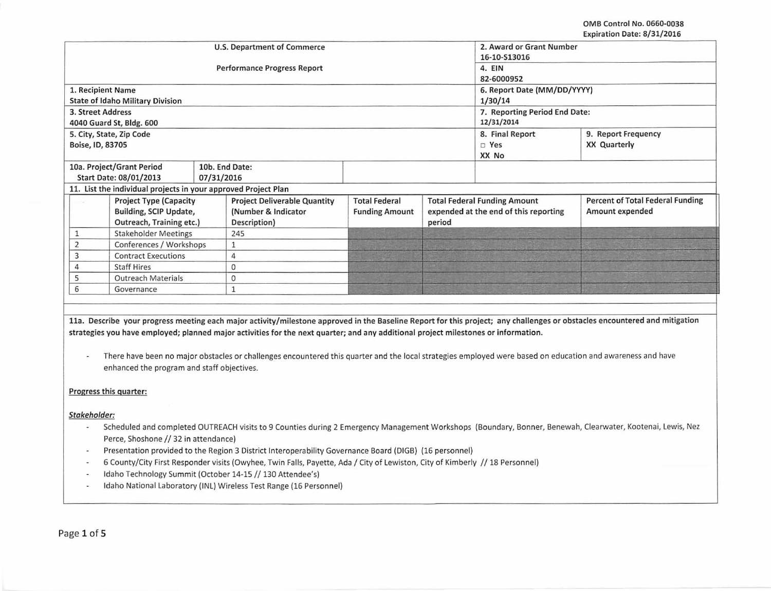|                                                                | <b>U.S. Department of Commerce</b>           | 2. Award or Grant Number |        |                                     |                                         |  |  |  |
|----------------------------------------------------------------|----------------------------------------------|--------------------------|--------|-------------------------------------|-----------------------------------------|--|--|--|
|                                                                |                                              | 16-10-S13016             |        |                                     |                                         |  |  |  |
|                                                                | <b>Performance Progress Report</b>           |                          |        | 4. EIN                              |                                         |  |  |  |
|                                                                |                                              |                          |        | 82-6000952                          |                                         |  |  |  |
| 1. Recipient Name                                              |                                              |                          |        | 6. Report Date (MM/DD/YYYY)         |                                         |  |  |  |
| <b>State of Idaho Military Division</b>                        |                                              |                          |        | 1/30/14                             |                                         |  |  |  |
| 3. Street Address                                              |                                              |                          |        |                                     | 7. Reporting Period End Date:           |  |  |  |
| 4040 Guard St, Bldg. 600                                       |                                              | 12/31/2014               |        |                                     |                                         |  |  |  |
| 5. City, State, Zip Code                                       |                                              |                          |        | 8. Final Report                     | 9. Report Frequency                     |  |  |  |
| Boise, ID, 83705                                               |                                              |                          |        | $\square$ Yes                       | <b>XX Quarterly</b>                     |  |  |  |
|                                                                |                                              | XX No                    |        |                                     |                                         |  |  |  |
| 10a. Project/Grant Period                                      | 10b. End Date:                               |                          |        |                                     |                                         |  |  |  |
| Start Date: 08/01/2013<br>07/31/2016                           |                                              |                          |        |                                     |                                         |  |  |  |
| 11. List the individual projects in your approved Project Plan |                                              |                          |        |                                     |                                         |  |  |  |
| <b>Project Type (Capacity</b>                                  | <b>Project Deliverable Quantity</b>          | <b>Total Federal</b>     |        | <b>Total Federal Funding Amount</b> | <b>Percent of Total Federal Funding</b> |  |  |  |
| Building, SCIP Update,                                         | (Number & Indicator<br><b>Funding Amount</b> |                          |        |                                     | Amount expended                         |  |  |  |
| Outreach, Training etc.)                                       | Description)                                 |                          | period |                                     |                                         |  |  |  |
| <b>Stakeholder Meetings</b><br>1                               | 245                                          |                          |        |                                     |                                         |  |  |  |
| Conferences / Workshops<br>$\overline{2}$                      |                                              |                          |        |                                     |                                         |  |  |  |
| <b>Contract Executions</b><br>3                                | 4                                            |                          |        |                                     |                                         |  |  |  |
| <b>Staff Hires</b>                                             | $\mathbf{0}$                                 |                          |        |                                     |                                         |  |  |  |
| <b>Outreach Materials</b><br>0                                 |                                              |                          |        |                                     |                                         |  |  |  |
| Governance<br>6                                                |                                              |                          |        |                                     |                                         |  |  |  |
|                                                                |                                              |                          |        |                                     |                                         |  |  |  |

lla. Describe your progress meeting each major activity/milestone approved in the Baseline Report for this project; any challenges or obstacles encountered and mitigation strategies you have employed; planned major activities for the next quarter; and any additional project milestones or information.

- There have been no major obstacles or challenges encountered this quarter and the local strategies employed were based on education and awareness and have enhanced the program and staff objectives.

### Progress this quarter:

### Stakeholder:

- Scheduled and completed OUTREACH visits to 9 Counties during 2 Emergency Management Workshops (Boundary, Bonner, Benewah, Clearwater, Kootenai, Lewis, Nez Perce, Shoshone // 32 in attendance)
- Presentation provided to the Region 3 District lnteropera bility Governance Board (DIGB) (16 personnel)
- 6 County/City First Responder visits (Owyhee, Twin Falls, Payette, Ada / City of Lewiston, City of Kimberly // 18 Personnel)
- Idaho Technology Summit (October 14-15 // 130 Attendee's)
- Idaho National Laboratory (INL) Wireless Test Range (16 Personnel)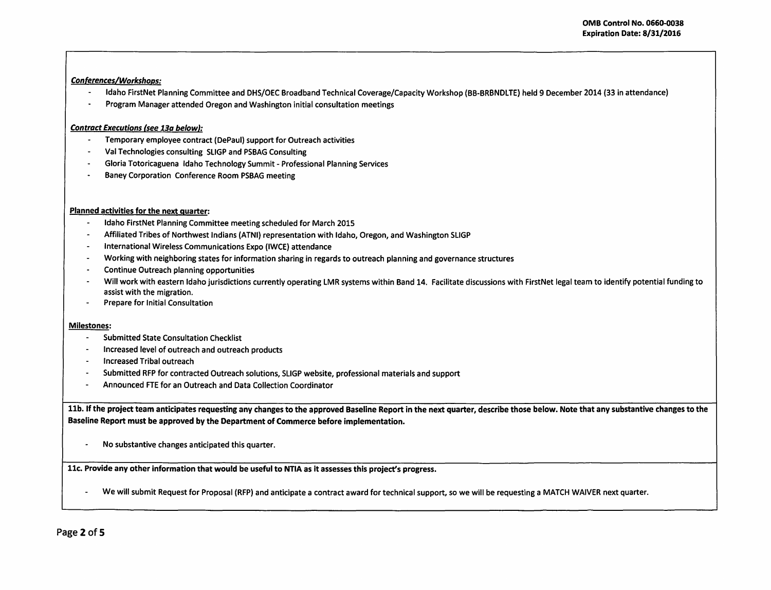# Conferences/Workshoos:

- Idaho FirstNet Planning Committee and DHS/OEC Broadband Technical Coverage/Capacity Workshop (BB-BRBNDLTE) held 9 December 2014 (33 in attendance)
- Program Manager attended Oregon and Washington initial consultation meetings . .

# Contract Executions (see 13a below}:

- $\blacksquare$ Temporary employee contract (DePaul) support for Outreach activities
- Val Technologies consulting SLIGP and PSBAG Consulting
- Gloria Totoricaguena Idaho Technology Summit- Professional Planning Services
- Baney Corporation Conference Room PSBAG meeting

## Planned activities for the next quarter:

- Idaho FirstNet Planning Committee meeting scheduled for March 2015
- Affiliated Tribes of Northwest Indians (ATNI) representation with Idaho, Oregon, and Washington SLIGP
- International Wireless Communications Expo (IWCE) attendance
- Working with neighboring states for information sharing in regards to outreach planning and governance structures
- Continue Outreach planning opportunities
- Will work with eastern Idaho jurisdictions currently operating LMR systems within Band 14. Facilitate discussions with FirstNet legal team to identify potential funding to assist with the migration.
- Prepare for Initial Consultation

## Milestones:

- Submitted State Consultation Checklist
- Increased level of outreach and outreach products
- Increased Tribal outreach
- Submitted RFP for contracted Outreach solutions, SLIGP website, professional materials and support
- Announced FTE for an Outreach and Data Collection Coordinator

11b. If the project team anticipates requesting any changes to the approved Baseline Report in the next quarter, describe those below. Note that any substantive changes to the Baseline Report must be approved by the Department of Commerce before implementation.

- No substantive changes anticipated this quarter.

11c. Provide any other information that would be useful to NTIA as it assesses this project's progress.

We will submit Request for Proposal (RFP) and anticipate a contract award for technical support, so we will be requesting a MATCH WAIVER next quarter.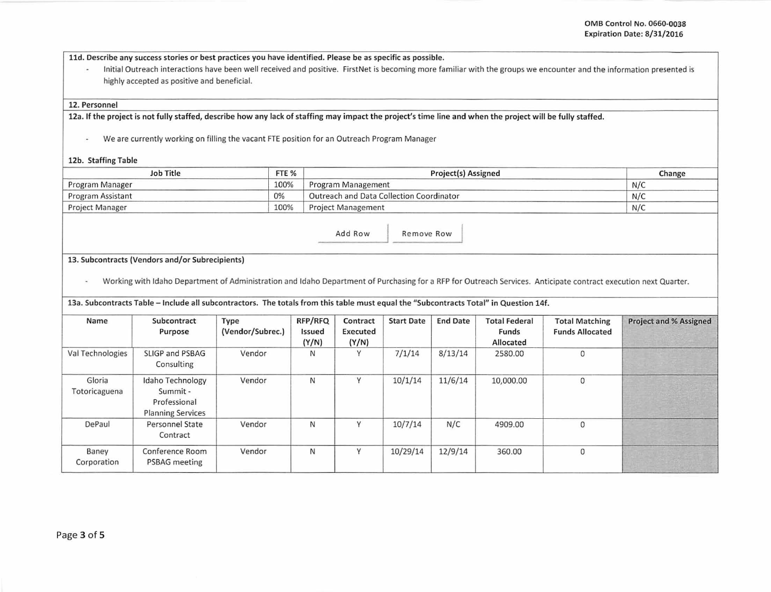lld. Describe any success stories or best practices you have identified. Please be as specific as possible.

- Initial Outreach interactions have been well received and positive. First Net is becoming more familiar with the groups we encounter and the information presented is highly accepted as positive and beneficial.

#### 12. Personnel

12a. If the project is not fully staffed, describe how any lack of staffing may impact the project's time line and when the project will be fully staffed.

- We are currently working on filling the vacant FTE position for an Outreach Program Manager

#### 12b. Staffing Table

| <b>Job Title</b>  | FTE % | Project(s) Assigned                      | Change |
|-------------------|-------|------------------------------------------|--------|
| Program Manager   | 100%  | Program Management                       | N/C    |
| Program Assistant | 0%    | Outreach and Data Collection Coordinator | N/C    |
| Project Manager   | 100%  | <b>Project Management</b>                | N/C    |

Add Row Remove Row

### 13. Subcontracts (Vendors and/or Subrecipients)

- Working with Idaho Department of Administration and Idaho Department of Purchasing for a RFP for Outreach Services. Anticipate contract execution next Quarter.

13a. Subcontracts Table -Include all subcontractors. The totals from this table must equal the "Subcontracts Total" in Question 14f.

| Name                    | Subcontract<br>Purpose                                                   | Type<br>(Vendor/Subrec.) | RFP/RFQ<br>Issued<br>(Y/N) | Contract<br>Executed<br>(Y/N) | <b>Start Date</b> | <b>End Date</b> | <b>Total Federal</b><br>Funds<br>Allocated | <b>Total Matching</b><br><b>Funds Allocated</b> | <b>Project and % Assigned</b> |
|-------------------------|--------------------------------------------------------------------------|--------------------------|----------------------------|-------------------------------|-------------------|-----------------|--------------------------------------------|-------------------------------------------------|-------------------------------|
| Val Technologies        | SLIGP and PSBAG<br>Consulting                                            | Vendor                   | N                          | $\checkmark$                  | 7/1/14            | 8/13/14         | 2580.00                                    | $\mathbf{0}$                                    |                               |
| Gloria<br>Totoricaguena | Idaho Technology<br>Summit -<br>Professional<br><b>Planning Services</b> | Vendor                   | N                          |                               | 10/1/14           | 11/6/14         | 10,000.00                                  | $\mathbf{0}$                                    |                               |
| DePaul                  | Personnel State<br>Contract                                              | Vendor                   | N                          | $\vee$                        | 10/7/14           | N/C             | 4909.00                                    | $\mathbf{0}$                                    |                               |
| Baney<br>Corporation    | Conference Room<br>PSBAG meeting                                         | Vendor                   | N                          | $\vee$                        | 10/29/14          | 12/9/14         | 360.00                                     | $\Omega$                                        |                               |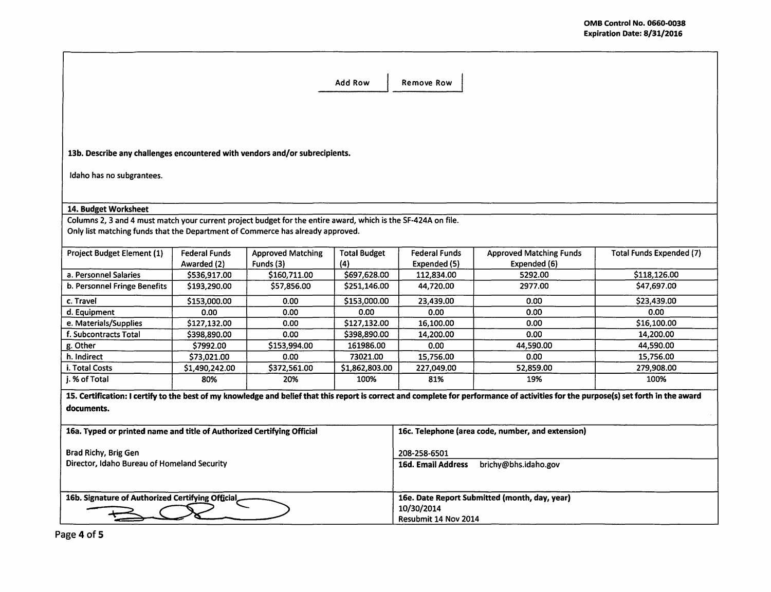|                                                                                                               | <b>Add Row</b><br><b>Remove Row</b> |                          |                           |                                                   |                                                                                                                                                                                      |                                 |  |  |
|---------------------------------------------------------------------------------------------------------------|-------------------------------------|--------------------------|---------------------------|---------------------------------------------------|--------------------------------------------------------------------------------------------------------------------------------------------------------------------------------------|---------------------------------|--|--|
|                                                                                                               |                                     |                          |                           |                                                   |                                                                                                                                                                                      |                                 |  |  |
|                                                                                                               |                                     |                          |                           |                                                   |                                                                                                                                                                                      |                                 |  |  |
|                                                                                                               |                                     |                          |                           |                                                   |                                                                                                                                                                                      |                                 |  |  |
|                                                                                                               |                                     |                          |                           |                                                   |                                                                                                                                                                                      |                                 |  |  |
| 13b. Describe any challenges encountered with vendors and/or subrecipients.                                   |                                     |                          |                           |                                                   |                                                                                                                                                                                      |                                 |  |  |
|                                                                                                               |                                     |                          |                           |                                                   |                                                                                                                                                                                      |                                 |  |  |
| Idaho has no subgrantees.                                                                                     |                                     |                          |                           |                                                   |                                                                                                                                                                                      |                                 |  |  |
|                                                                                                               |                                     |                          |                           |                                                   |                                                                                                                                                                                      |                                 |  |  |
|                                                                                                               |                                     |                          |                           |                                                   |                                                                                                                                                                                      |                                 |  |  |
| 14. Budget Worksheet                                                                                          |                                     |                          |                           |                                                   |                                                                                                                                                                                      |                                 |  |  |
| Columns 2, 3 and 4 must match your current project budget for the entire award, which is the SF-424A on file. |                                     |                          |                           |                                                   |                                                                                                                                                                                      |                                 |  |  |
| Only list matching funds that the Department of Commerce has already approved.                                |                                     |                          |                           |                                                   |                                                                                                                                                                                      |                                 |  |  |
| <b>Project Budget Element (1)</b>                                                                             | Federal Funds                       | <b>Approved Matching</b> | <b>Total Budget</b>       | <b>Federal Funds</b>                              | <b>Approved Matching Funds</b>                                                                                                                                                       | <b>Total Funds Expended (7)</b> |  |  |
|                                                                                                               | Awarded (2)                         | Funds (3)                | (4)                       | Expended (5)                                      | Expended (6)                                                                                                                                                                         |                                 |  |  |
| a. Personnel Salaries                                                                                         | \$536,917.00                        | \$160,711.00             | \$697,628.00              | 112,834.00                                        | 5292.00                                                                                                                                                                              | \$118,126.00                    |  |  |
| b. Personnel Fringe Benefits                                                                                  | \$193,290.00                        | \$57,856.00              | \$251,146.00              | 44,720.00                                         | 2977.00                                                                                                                                                                              | \$47,697.00                     |  |  |
| c. Travel                                                                                                     | \$153,000.00                        | 0.00                     | \$153,000.00              | 23,439.00                                         | 0.00                                                                                                                                                                                 | \$23,439.00                     |  |  |
| d. Equipment                                                                                                  | 0.00                                | 0.00                     | 0.00                      | 0.00                                              | 0.00                                                                                                                                                                                 | 0.00                            |  |  |
| e. Materials/Supplies                                                                                         | \$127,132.00                        | 0.00                     | \$127,132.00              | 16,100.00                                         | 0.00                                                                                                                                                                                 | \$16,100.00                     |  |  |
| f. Subcontracts Total                                                                                         | \$398,890.00                        | 0.00                     | \$398,890.00              | 14,200.00                                         | 0.00                                                                                                                                                                                 | 14,200.00                       |  |  |
| g. Other                                                                                                      | \$7992.00                           | \$153,994.00             | 161986.00                 | 0.00                                              | 44,590.00                                                                                                                                                                            | 44,590.00                       |  |  |
| h. Indirect                                                                                                   | \$73.021.00                         | 0.00                     | 73021.00                  | 15.756.00                                         | 0.00                                                                                                                                                                                 | 15,756.00                       |  |  |
| i. Total Costs                                                                                                | \$1,490,242.00                      | \$372,561.00             | \$1,862,803.00            | 227,049.00                                        | 52,859.00                                                                                                                                                                            | 279,908.00                      |  |  |
| i. % of Total                                                                                                 | 80%                                 | 20%                      | 100%                      | 81%                                               | 19%                                                                                                                                                                                  | 100%                            |  |  |
|                                                                                                               |                                     |                          |                           |                                                   | 15. Certification: I certify to the best of my knowledge and belief that this report is correct and complete for performance of activities for the purpose(s) set forth in the award |                                 |  |  |
| documents.                                                                                                    |                                     |                          |                           |                                                   |                                                                                                                                                                                      |                                 |  |  |
|                                                                                                               |                                     |                          |                           |                                                   |                                                                                                                                                                                      |                                 |  |  |
| 16a. Typed or printed name and title of Authorized Certifying Official                                        |                                     |                          |                           | 16c. Telephone (area code, number, and extension) |                                                                                                                                                                                      |                                 |  |  |
|                                                                                                               |                                     |                          |                           |                                                   |                                                                                                                                                                                      |                                 |  |  |
| Brad Richy, Brig Gen                                                                                          |                                     |                          | 208-258-6501              |                                                   |                                                                                                                                                                                      |                                 |  |  |
| Director, Idaho Bureau of Homeland Security                                                                   |                                     |                          | <b>16d. Email Address</b> | brichy@bhs.idaho.gov                              |                                                                                                                                                                                      |                                 |  |  |
|                                                                                                               |                                     |                          |                           |                                                   |                                                                                                                                                                                      |                                 |  |  |
|                                                                                                               |                                     |                          |                           |                                                   | 16e. Date Report Submitted (month, day, year)                                                                                                                                        |                                 |  |  |
| 16b. Signature of Authorized Certifying Official,                                                             |                                     |                          |                           | 10/30/2014                                        |                                                                                                                                                                                      |                                 |  |  |
|                                                                                                               |                                     |                          |                           | Resubmit 14 Nov 2014                              |                                                                                                                                                                                      |                                 |  |  |
|                                                                                                               | $- - 4 - 4$                         |                          |                           |                                                   |                                                                                                                                                                                      |                                 |  |  |